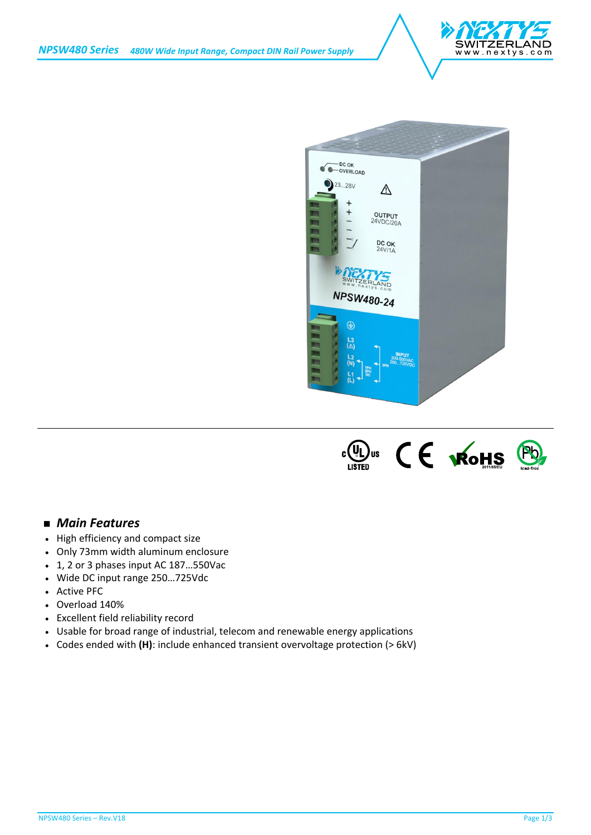





## *Main Features*

- High efficiency and compact size
- Only 73mm width aluminum enclosure
- 1, 2 or 3 phases input AC 187…550Vac
- Wide DC input range 250…725Vdc
- Active PFC
- Overload 140%
- Excellent field reliability record
- Usable for broad range of industrial, telecom and renewable energy applications
- Codes ended with **(H)**: include enhanced transient overvoltage protection (> 6kV)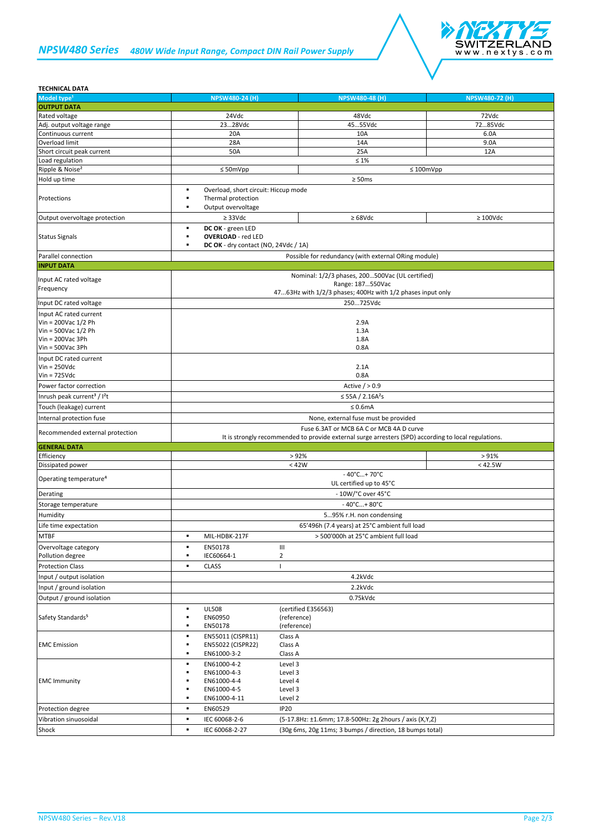## *NPSW480 Series 480W Wide Input Range, Compact DIN Rail Power Supply*



| <b>TECHNICAL DATA</b>                                                                                                   |                                                                                                                                                  |                                                          |                       |
|-------------------------------------------------------------------------------------------------------------------------|--------------------------------------------------------------------------------------------------------------------------------------------------|----------------------------------------------------------|-----------------------|
| Model type <sup>1</sup>                                                                                                 | <b>NPSW480-24 (H)</b>                                                                                                                            | <b>NPSW480-48 (H)</b>                                    | <b>NPSW480-72 (H)</b> |
| <b>OUTPUT DATA</b>                                                                                                      |                                                                                                                                                  |                                                          |                       |
| Rated voltage                                                                                                           | 24Vdc                                                                                                                                            | 48Vdc                                                    | 72Vdc                 |
| Adj. output voltage range                                                                                               | 2328Vdc                                                                                                                                          | 4555Vdc                                                  | 7285Vdc               |
| Continuous current                                                                                                      | 20A                                                                                                                                              | 10A                                                      | 6.0A                  |
| Overload limit                                                                                                          | 28A                                                                                                                                              | 14A                                                      | 9.0A                  |
| Short circuit peak current                                                                                              | 50A                                                                                                                                              | 25A                                                      | 12A                   |
| Load regulation                                                                                                         |                                                                                                                                                  | $\leq 1\%$                                               |                       |
| Ripple & Noise <sup>2</sup>                                                                                             | $\leq 50$ mVpp                                                                                                                                   | $\leq 100$ mVpp                                          |                       |
| Hold up time                                                                                                            |                                                                                                                                                  | $\geq$ 50ms                                              |                       |
| Protections                                                                                                             | Overload, short circuit: Hiccup mode<br>٠<br>٠<br>Thermal protection<br>Output overvoltage<br>٠                                                  |                                                          |                       |
| Output overvoltage protection                                                                                           | $\geq$ 33Vdc                                                                                                                                     | $\geq 68$ Vdc                                            | $\geq 100$ Vdc        |
| <b>Status Signals</b>                                                                                                   | DC OK - green LED<br><b>OVERLOAD</b> - red LED<br>DC OK - dry contact (NO, 24Vdc / 1A)                                                           |                                                          |                       |
| Parallel connection                                                                                                     |                                                                                                                                                  | Possible for redundancy (with external ORing module)     |                       |
| <b>INPUT DATA</b>                                                                                                       |                                                                                                                                                  |                                                          |                       |
| Input AC rated voltage                                                                                                  | Nominal: 1/2/3 phases, 200500Vac (UL certified)<br>Range: 187550Vac<br>4763Hz with 1/2/3 phases; 400Hz with 1/2 phases input only                |                                                          |                       |
| Frequency                                                                                                               |                                                                                                                                                  |                                                          |                       |
| Input DC rated voltage                                                                                                  |                                                                                                                                                  | 250725Vdc                                                |                       |
| Input AC rated current<br>Vin = 200Vac 1/2 Ph<br>Vin = $500$ Vac $1/2$ Ph<br>$V$ in = 200Vac 3Ph<br>$V$ in = 500Vac 3Ph | 2.9A<br>1.3A<br>1.8A<br>0.8A                                                                                                                     |                                                          |                       |
| Input DC rated current<br>$Vin = 250Vdc$<br>$Vin = 725Vdc$                                                              |                                                                                                                                                  | 2.1A<br>0.8A                                             |                       |
|                                                                                                                         |                                                                                                                                                  |                                                          |                       |
| Power factor correction                                                                                                 | Active $/ > 0.9$                                                                                                                                 |                                                          |                       |
| Inrush peak current <sup>3</sup> / I <sup>2</sup> t                                                                     | ≤ 55A / 2.16A <sup>2</sup> s                                                                                                                     |                                                          |                       |
| Touch (leakage) current                                                                                                 | $\leq 0.6$ mA                                                                                                                                    |                                                          |                       |
| Internal protection fuse                                                                                                | None, external fuse must be provided                                                                                                             |                                                          |                       |
| Recommended external protection                                                                                         | Fuse 6.3AT or MCB 6A C or MCB 4A D curve<br>It is strongly recommended to provide external surge arresters (SPD) according to local regulations. |                                                          |                       |
| <b>GENERAL DATA</b>                                                                                                     |                                                                                                                                                  |                                                          |                       |
| Efficiency                                                                                                              |                                                                                                                                                  | >92%                                                     | > 91%                 |
| Dissipated power                                                                                                        |                                                                                                                                                  | < 42W                                                    | < 42.5W               |
| Operating temperature <sup>4</sup>                                                                                      | $-40^{\circ}$ C + 70 $^{\circ}$ C<br>UL certified up to 45°C                                                                                     |                                                          |                       |
| Derating                                                                                                                | - 10W/°C over 45°C                                                                                                                               |                                                          |                       |
| Storage temperature                                                                                                     | $-40^{\circ}$ C + 80 $^{\circ}$ C                                                                                                                |                                                          |                       |
| Humidity                                                                                                                |                                                                                                                                                  |                                                          |                       |
|                                                                                                                         | 595% r.H. non condensing                                                                                                                         |                                                          |                       |
| Life time expectation                                                                                                   | 65'496h (7.4 years) at 25°C ambient full load                                                                                                    |                                                          |                       |
| <b>MTBF</b>                                                                                                             | $\blacksquare$<br>MIL-HDBK-217F                                                                                                                  | > 500'000h at 25°C ambient full load                     |                       |
| Overvoltage category                                                                                                    | EN50178<br>٠                                                                                                                                     | Ш                                                        |                       |
| Pollution degree                                                                                                        | IEC60664-1<br>٠                                                                                                                                  | $\overline{2}$                                           |                       |
| <b>Protection Class</b>                                                                                                 | <b>CLASS</b><br>٠                                                                                                                                | т                                                        |                       |
| Input / output isolation                                                                                                |                                                                                                                                                  | 4.2kVdc                                                  |                       |
| Input / ground isolation                                                                                                |                                                                                                                                                  | 2.2kVdc                                                  |                       |
| Output / ground isolation                                                                                               |                                                                                                                                                  | 0.75kVdc                                                 |                       |
|                                                                                                                         | <b>UL508</b><br>٠                                                                                                                                | (certified E356563)                                      |                       |
| Safety Standards <sup>5</sup>                                                                                           | EN60950<br>EN50178<br>٠                                                                                                                          | (reference)<br>(reference)                               |                       |
| <b>EMC</b> Emission                                                                                                     | EN55011 (CISPR11)<br>٠<br>EN55022 (CISPR22)<br>٠<br>EN61000-3-2<br>٠                                                                             | Class A<br>Class A<br>Class A                            |                       |
| <b>EMC Immunity</b>                                                                                                     | EN61000-4-2<br>EN61000-4-3<br>EN61000-4-4<br>EN61000-4-5<br>EN61000-4-11                                                                         | Level 3<br>Level 3<br>Level 4<br>Level 3<br>Level 2      |                       |
| Protection degree                                                                                                       | EN60529<br>٠                                                                                                                                     | <b>IP20</b>                                              |                       |
| Vibration sinuosoidal                                                                                                   | IEC 60068-2-6<br>٠                                                                                                                               | (5-17.8Hz: ±1.6mm; 17.8-500Hz: 2g 2hours / axis (X,Y,Z)  |                       |
| Shock                                                                                                                   | IEC 60068-2-27<br>٠                                                                                                                              | (30g 6ms, 20g 11ms; 3 bumps / direction, 18 bumps total) |                       |